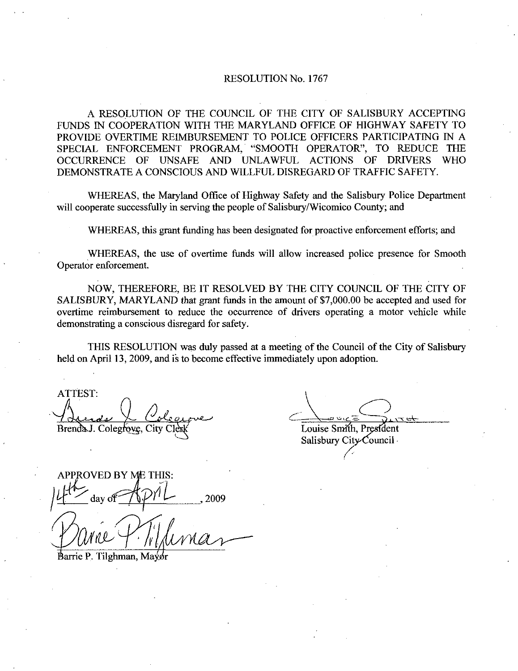## RESOLUTION No. 1767

A RESOLUTION OF THE COUNCIL OF THE CITY OF SALISBURY ACCEPTING FUNDS IN COOPERATION WITH THE MARYLAND OFFICE OF HIGHWAY SAFETY TO PROVIDE OVERTIME REIMBURSEMENT TO POLICE OFFICERS PARTICIPATING IN A SPECIAL ENFORCEMENT PROGRAM, "SMOOTH OPERATOR", TO REDUCE THE OCCURRENCE OF UNSAFE AND UNLAWFUL ACTIONS OF DRIVERS WHO OCCURRENCE OF UNSAFE AND UNLAWFUL ACTIONS DEMONSTRATE A CONSCIOUS AND WILLFUL DISREGARD OF TRAFFIC SAFETY

WHEREAS, the Maryland Office of Highway Safety and the Salisbury Police Department will cooperate successfully in serving the people of Salisbury/Wicomico County; and

WHEREAS, this grant funding has been designated for proactive enforcement efforts; and

WHEREAS, the use of overtime funds will allow increased police presence for Smooth Operator enforcement

NOW, THEREFORE, BE IT RESOLVED BY THE CITY COUNCIL OF THE CITY OF SALISBURY, MARYLAND that grant funds in the amount of \$7,000.00 be accepted and used for overtime reimbursement to reduce the occurrence of drivers operating a motor vehicle while demonstrating a conscious disregard for safety.

THIS RESOLUTION was duly passed at ameeting of the Council of the City of Salisbury held on April 13, 2009, and is to become effective immediately upon adoption.

ATTEST to de la Cologne<br>Colegrave, City Clerk Brenda J. Colegrove, City Clerk Clear Clear Louise Smith, President

Salisbury City Council

APPROVED BY ME THIS:<br> $4\frac{1}{\sqrt{2}}$  day of  $\frac{1}{\sqrt{2}}$ , 2009  $\mathcal{I}$  $\frac{1}{2}$  day of  $\frac{1}{\sqrt{2}}$ <br>  $\frac{1}{\sqrt{2}}$  arrie P. Tilghman, Mayor